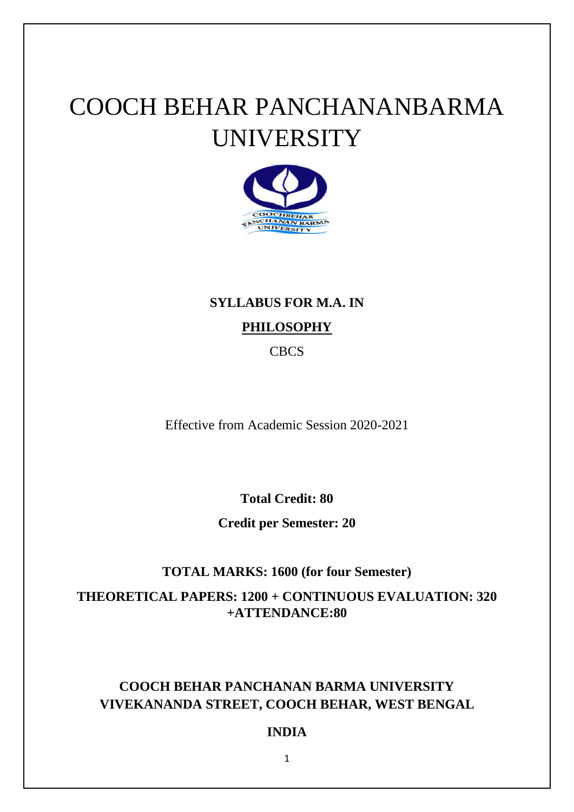# COOCH BEHAR PANCHANANBARMA UNIVERSITY



# **SYLLABUS FOR M.A. IN**

# **PHILOSOPHY**

CBCS

Effective from Academic Session 2020-2021

**Total Credit: 80**

**Credit per Semester: 20**

# **TOTAL MARKS: 1600 (for four Semester)**

**THEORETICAL PAPERS: 1200 + CONTINUOUS EVALUATION: 320 +ATTENDANCE:80**

# **COOCH BEHAR PANCHANAN BARMA UNIVERSITY VIVEKANANDA STREET, COOCH BEHAR, WEST BENGAL**

# **INDIA**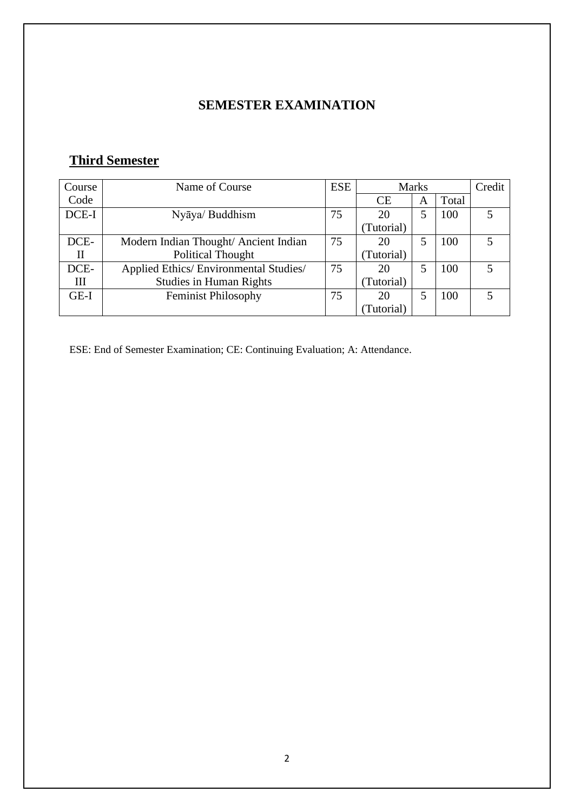# **SEMESTER EXAMINATION**

# **Third Semester**

| Course   | Name of Course                         | <b>ESE</b> | <b>Marks</b> |   | Credit |  |
|----------|----------------------------------------|------------|--------------|---|--------|--|
| Code     |                                        |            | CE           | A | Total  |  |
| DCE-I    | Nyāya/ Buddhism                        | 75         | 20           | 5 | 100    |  |
|          |                                        |            | (Tutorial)   |   |        |  |
| DCE-     | Modern Indian Thought/ Ancient Indian  | 75         | 20           |   | 100    |  |
| $\rm II$ | <b>Political Thought</b>               |            | (Tutorial)   |   |        |  |
| DCE-     | Applied Ethics/ Environmental Studies/ | 75         | 20           |   | 100    |  |
| Ш        | <b>Studies in Human Rights</b>         |            | (Tutorial)   |   |        |  |
| $GE-I$   | <b>Feminist Philosophy</b>             | 75         | 20           | 5 | 100    |  |
|          |                                        |            | Tutorial)    |   |        |  |

ESE: End of Semester Examination; CE: Continuing Evaluation; A: Attendance.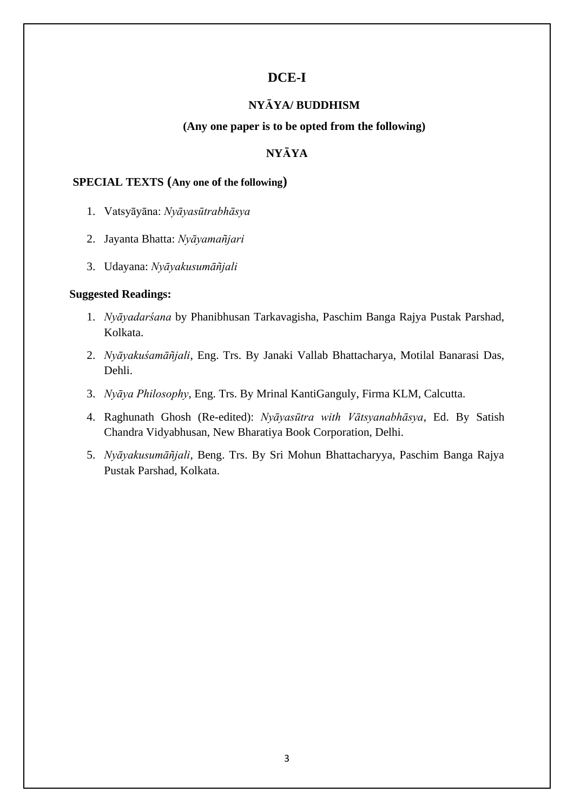# **DCE-I**

#### **NYᾹYA/ BUDDHISM**

#### **(Any one paper is to be opted from the following)**

#### **NYᾹYA**

#### **SPECIAL TEXTS (Any one of the following)**

- 1. Vatsyāyāna: *Nyāyasūtrabhāsya*
- 2. Jayanta Bhatta: *Nyāyamañjari*
- 3. Udayana: *Nyāyakusumāñjali*

- 1. *Nyāyadarśana* by Phanibhusan Tarkavagisha, Paschim Banga Rajya Pustak Parshad, Kolkata.
- 2. *Nyāyakuśamāñjali*, Eng. Trs. By Janaki Vallab Bhattacharya, Motilal Banarasi Das, Dehli.
- 3. *Nyāya Philosophy*, Eng. Trs. By Mrinal KantiGanguly, Firma KLM, Calcutta.
- 4. Raghunath Ghosh (Re-edited): *Nyāyasūtra with Vātsyanabhāsya*, Ed. By Satish Chandra Vidyabhusan, New Bharatiya Book Corporation, Delhi.
- 5. *Nyāyakusumāñjali*, Beng. Trs. By Sri Mohun Bhattacharyya, Paschim Banga Rajya Pustak Parshad, Kolkata.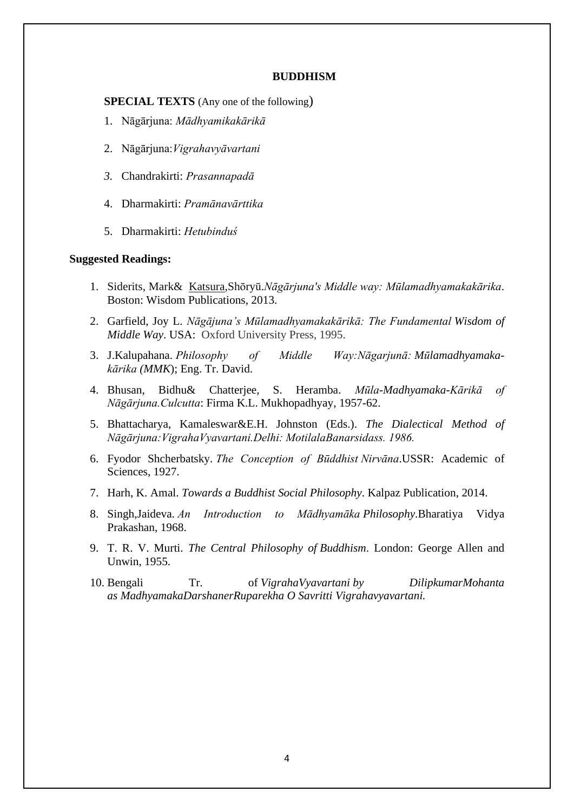#### **BUDDHISM**

**SPECIAL TEXTS** (Any one of the following)

- 1. Nāgārjuna: *Mādhyamikakārikā*
- 2. Nāgārjuna:*Vigrahavyāvartani*
- *3.* Chandrakirti: *Prasannapadā*
- 4. Dharmakirti: *Pramānavārttika*
- 5. Dharmakirti: *Hetubinduś*

- 1. [Siderits,](https://www.worldcat.org/search?q=au%3ASiderits%2C+Mark%2C&qt=hot_author) Mark& [Katsura,](https://www.worldcat.org/search?q=au%3AKatsura%2C+Sho%CC%84ryu%CC%84%2C&qt=hot_author)Shōryū.*Nāgārjuna's Middle way: Mūlamadhyamakakārika*. Boston: Wisdom Publications, 2013.
- 2. Garfield, Joy L. *Nāgājuna's Mūlamadhyamakakārikā: The Fundamental Wisdom of Middle Way*. USA: Oxford University Press, 1995.
- 3. J.Kalupahana. *Philosophy of Middle Way:Nāgarjunā: Mūlamadhyamakakārika (MMK*); Eng. Tr. David.
- 4. Bhusan, Bidhu& Chatterjee, S. Heramba. *Mūla-Madhyamaka-Kārikā of Nāgārjuna.Culcutta*: Firma K.L. Mukhopadhyay, 1957-62.
- 5. Bhattacharya, Kamaleswar&E.H. Johnston (Eds.). *The Dialectical Method of Nāgārjuna:VigrahaVyavartani.Delhi: MotilalaBanarsidass. 1986.*
- 6. Fyodor Shcherbatsky. *The Conception of Būddhist Nirvāna*.USSR: Academic of Sciences, 1927.
- 7. Harh, K. Amal. *Towards a Buddhist Social Philosophy*. Kalpaz Publication, 2014.
- 8. Singh,Jaideva. *An Introduction to Mādhyamāka Philosophy*.Bharatiya Vidya Prakashan, 1968.
- 9. T. R. V. Murti. *The Central Philosophy of Buddhism*. London: George Allen and Unwin, 1955.
- 10. Bengali Tr. of *VigrahaVyavartani by DilipkumarMohanta as MadhyamakaDarshanerRuparekha O Savritti Vigrahavyavartani.*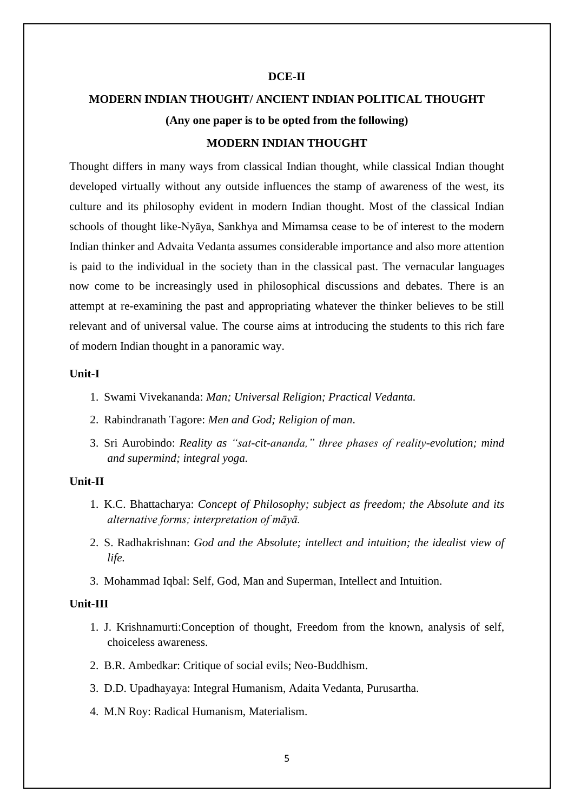#### **DCE-II**

# **MODERN INDIAN THOUGHT/ ANCIENT INDIAN POLITICAL THOUGHT (Any one paper is to be opted from the following)**

## **MODERN INDIAN THOUGHT**

Thought differs in many ways from classical Indian thought, while classical Indian thought developed virtually without any outside influences the stamp of awareness of the west, its culture and its philosophy evident in modern Indian thought. Most of the classical Indian schools of thought like-Nyāya, Sankhya and Mimamsa cease to be of interest to the modern Indian thinker and Advaita Vedanta assumes considerable importance and also more attention is paid to the individual in the society than in the classical past. The vernacular languages now come to be increasingly used in philosophical discussions and debates. There is an attempt at re-examining the past and appropriating whatever the thinker believes to be still relevant and of universal value. The course aims at introducing the students to this rich fare of modern Indian thought in a panoramic way.

#### **Unit-I**

- 1. Swami Vivekananda: *Man; Universal Religion; Practical Vedanta.*
- 2. Rabindranath Tagore: *Men and God; Religion of man*.
- 3. Sri Aurobindo: *Reality as "sat-cit-ananda," three phases of reality-evolution; mind and supermind; integral yoga.*

#### **Unit-II**

- 1. K.C. Bhattacharya: *Concept of Philosophy; subject as freedom; the Absolute and its alternative forms; interpretation of māyā.*
- 2. S. Radhakrishnan: *God and the Absolute; intellect and intuition; the idealist view of life.*
- 3. Mohammad Iqbal: Self, God, Man and Superman, Intellect and Intuition.

#### **Unit-III**

- 1. J. Krishnamurti:Conception of thought, Freedom from the known, analysis of self, choiceless awareness.
- 2. B.R. Ambedkar: Critique of social evils; Neo-Buddhism.
- 3. D.D. Upadhayaya: Integral Humanism, Adaita Vedanta, Purusartha.
- 4. M.N Roy: Radical Humanism, Materialism.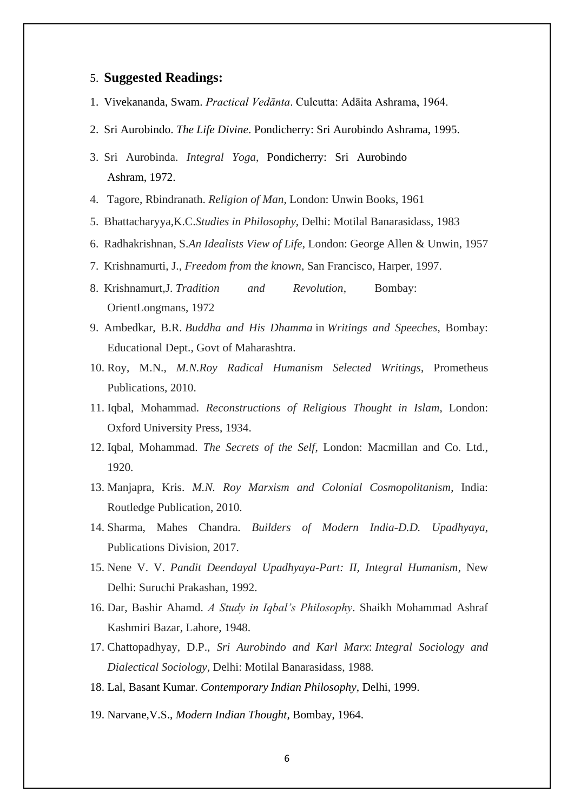- 1. Vivekananda, Swam. *Practical Vedānta*. Culcutta: Adāita Ashrama, 1964.
- 2. Sri Aurobindo. *The Life Divine*. Pondicherry: Sri Aurobindo Ashrama, 1995.
- 3. Sri Aurobinda. *Integral Yoga*, Pondicherry: Sri Aurobindo Ashram, 1972.
- 4. Tagore, Rbindranath. *Religion of Man*, London: Unwin Books, 1961
- 5. Bhattacharyya,K.C.*Studies in Philosophy*, Delhi: Motilal Banarasidass, 1983
- 6. Radhakrishnan, S.*An Idealists View of Life*, London: George Allen & Unwin, 1957
- 7. Krishnamurti, J., *Freedom from the known*, San Francisco, Harper, 1997.
- 8. Krishnamurt,J. *Tradition and Revolution*, Bombay: OrientLongmans, 1972
- 9. Ambedkar, B.R. *Buddha and His Dhamma* in *Writings and Speeches*, Bombay: Educational Dept., Govt of Maharashtra.
- 10. Roy, M.N., *M.N.Roy Radical Humanism Selected Writings*, Prometheus Publications, 2010.
- 11. Iqbal, Mohammad. *Reconstructions of Religious Thought in Islam*, London: Oxford University Press, 1934.
- 12. Iqbal, Mohammad. *The Secrets of the Self*, London: Macmillan and Co. Ltd., 1920.
- 13. Manjapra, Kris. *M.N. Roy Marxism and Colonial Cosmopolitanism*, India: Routledge Publication, 2010.
- 14. Sharma, Mahes Chandra. *Builders of Modern India-D.D. Upadhyaya*, Publications Division, 2017.
- 15. Nene V. V. *Pandit Deendayal Upadhyaya-Part: II, Integral Humanism*, New Delhi: Suruchi Prakashan, 1992.
- 16. Dar, Bashir Ahamd. *A Study in Iqbal's Philosophy*. Shaikh Mohammad Ashraf Kashmiri Bazar, Lahore, 1948.
- 17. Chattopadhyay, D.P., *Sri Aurobindo and Karl Marx*: *Integral Sociology and Dialectical Sociology*, Delhi: Motilal Banarasidass, 1988*.*
- 18. Lal, Basant Kumar. *Contemporary Indian Philosophy*, Delhi, 1999.
- 19. Narvane,V.S., *Modern Indian Thought*, Bombay, 1964.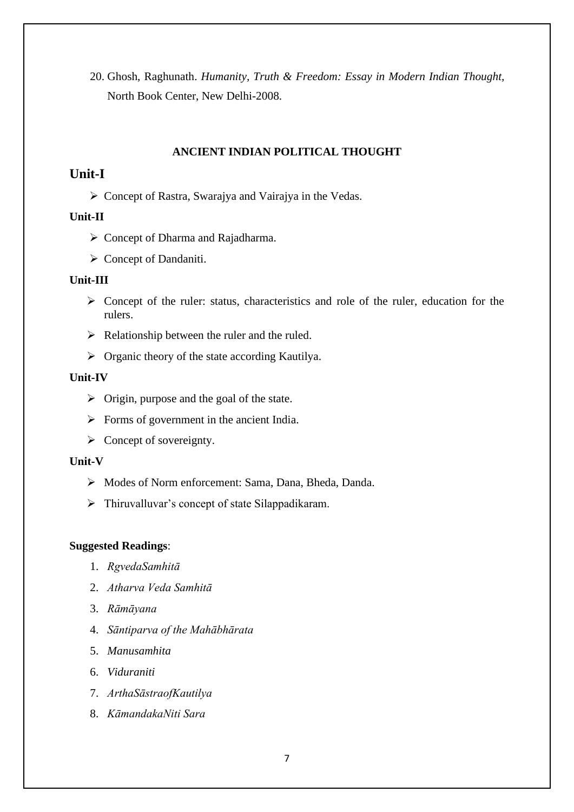20. Ghosh, Raghunath. *Humanity, Truth & Freedom: Essay in Modern Indian Thought,*  North Book Center, New Delhi-2008.

#### **ANCIENT INDIAN POLITICAL THOUGHT**

# **Unit-I**

➢ Concept of Rastra, Swarajya and Vairajya in the Vedas.

## **Unit-II**

- ➢ Concept of Dharma and Rajadharma.
- ➢ Concept of Dandaniti.

#### **Unit-III**

- ➢ Concept of the ruler: status, characteristics and role of the ruler, education for the rulers.
- $\triangleright$  Relationship between the ruler and the ruled.
- $\triangleright$  Organic theory of the state according Kautilya.

#### **Unit-IV**

- $\triangleright$  Origin, purpose and the goal of the state.
- $\triangleright$  Forms of government in the ancient India.
- $\triangleright$  Concept of sovereignty.

#### **Unit-V**

- ➢ Modes of Norm enforcement: Sama, Dana, Bheda, Danda.
- $\triangleright$  Thiruvalluvar's concept of state Silappadikaram.

- 1. *RgvedaSamhitā*
- 2. *Atharva Veda Samhitā*
- 3. *Rāmāyana*
- 4. *Sāntiparva of the Mahābhārata*
- 5. *Manusamhita*
- 6. *Viduraniti*
- 7. *ArthaSāstraofKautilya*
- 8. *KāmandakaNiti Sara*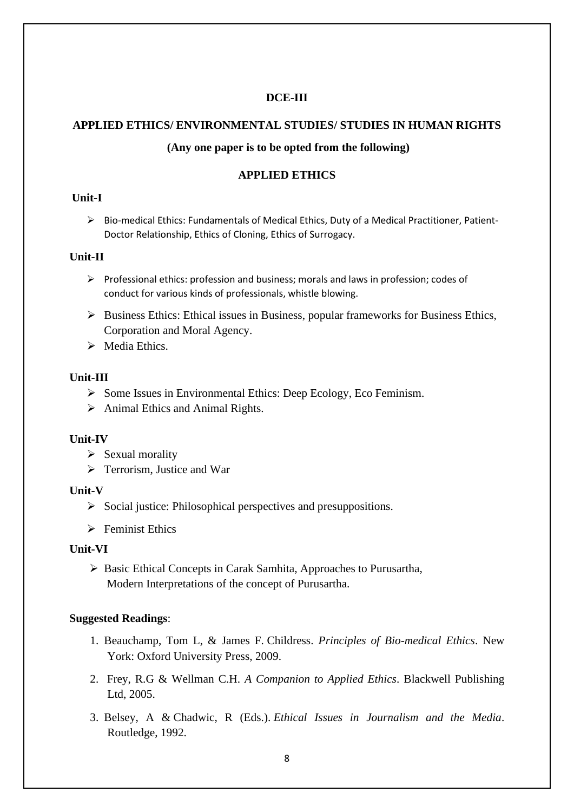## **DCE-III**

# **APPLIED ETHICS/ ENVIRONMENTAL STUDIES/ STUDIES IN HUMAN RIGHTS**

## **(Any one paper is to be opted from the following)**

## **APPLIED ETHICS**

## **Unit-I**

➢ Bio-medical Ethics: Fundamentals of Medical Ethics, Duty of a Medical Practitioner, Patient-Doctor Relationship, Ethics of Cloning, Ethics of Surrogacy.

#### **Unit-II**

- ➢ Professional ethics: profession and business; morals and laws in profession; codes of conduct for various kinds of professionals, whistle blowing.
- $\triangleright$  Business Ethics: Ethical issues in Business, popular frameworks for Business Ethics, Corporation and Moral Agency.
- ➢ Media Ethics.

## **Unit-III**

- ➢ Some Issues in Environmental Ethics: Deep Ecology, Eco Feminism.
- $\triangleright$  Animal Ethics and Animal Rights.

## **Unit-IV**

- ➢ Sexual morality
- ➢ Terrorism, Justice and War

## **Unit-V**

- $\triangleright$  Social justice: Philosophical perspectives and presuppositions.
- $\triangleright$  Feminist Ethics

## **Unit-VI**

➢ Basic Ethical Concepts in Carak Samhita, Approaches to Purusartha, Modern Interpretations of the concept of Purusartha.

- 1. Beauchamp, Tom L, & James F. Childress. *Principles of Bio-medical Ethics*. New York: Oxford University Press, 2009.
- 2. Frey, R.G & Wellman C.H. *A Companion to Applied Ethics*. Blackwell Publishing Ltd, 2005.
- 3. Belsey, A & Chadwic, R (Eds.). *Ethical Issues in Journalism and the Media*. Routledge, 1992.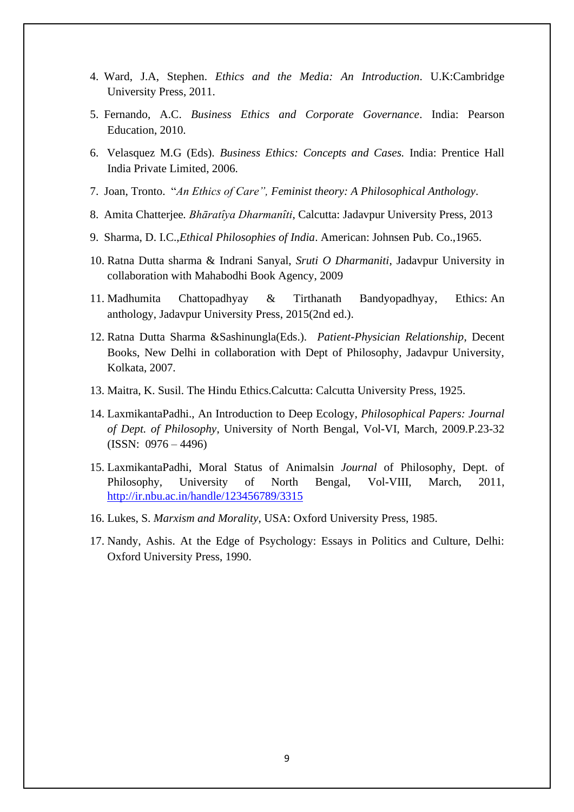- 4. Ward, J.A, Stephen. *Ethics and the Media: An Introduction*. U.K:Cambridge University Press, 2011.
- 5. Fernando, A.C. *Business Ethics and Corporate Governance*. India: Pearson Education, 2010.
- 6. Velasquez M.G (Eds). *Business Ethics: Concepts and Cases.* India: Prentice Hall India Private Limited, 2006.
- 7. Joan, Tronto. "*An Ethics of Care", Feminist theory: A Philosophical Anthology*.
- 8. Amita Chatterjee*. Bhāratȋya Dharmanȋti*, Calcutta: Jadavpur University Press, 2013
- 9. Sharma, D. I.C.,*Ethical Philosophies of India*. American: Johnsen Pub. Co.,1965.
- 10. Ratna Dutta sharma & Indrani Sanyal, *Sruti O Dharmaniti*, Jadavpur University in collaboration with Mahabodhi Book Agency, 2009
- 11. Madhumita Chattopadhyay & Tirthanath Bandyopadhyay, Ethics: An anthology, Jadavpur University Press, 2015(2nd ed.).
- 12. Ratna Dutta Sharma &Sashinungla(Eds.). *Patient-Physician Relationship*, Decent Books, New Delhi in collaboration with Dept of Philosophy, Jadavpur University, Kolkata, 2007.
- 13. Maitra, K. Susil. The Hindu Ethics.Calcutta: Calcutta University Press, 1925.
- 14. LaxmikantaPadhi., An Introduction to Deep Ecology, *Philosophical Papers: Journal of Dept. of Philosophy*, University of North Bengal, Vol-VI, March, 2009.P.23-32  $(ISSN: 0976 - 4496)$
- 15. LaxmikantaPadhi, Moral Status of Animalsin *Journal* of Philosophy, Dept. of Philosophy, University of North Bengal, Vol-VIII, March, 2011, [http://ir.nbu.ac.in/handle/123456789/3315](https://ir.nbu.ac.in/handle/123456789/3315)
- 16. Lukes, S. *Marxism and Morality*, USA: Oxford University Press, 1985.
- 17. Nandy, Ashis. At the Edge of Psychology: Essays in Politics and Culture, Delhi: Oxford University Press, 1990.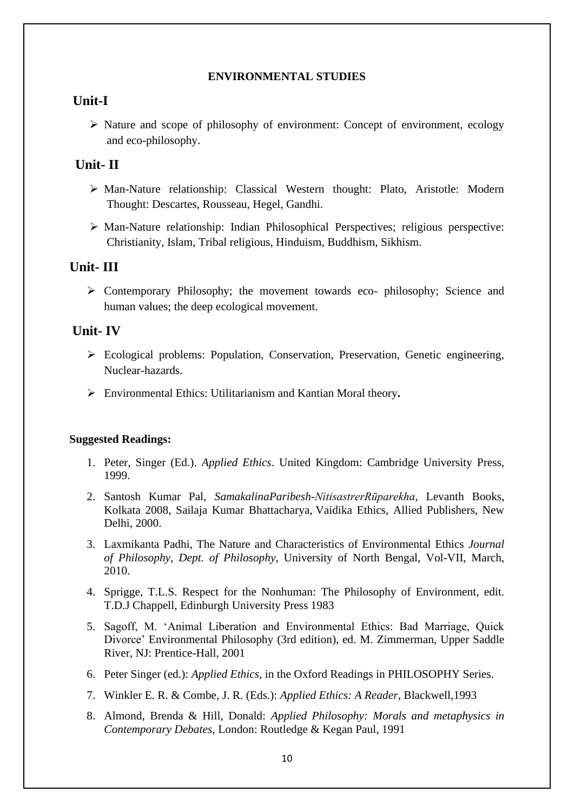#### **ENVIRONMENTAL STUDIES**

# **Unit-I**

➢ Nature and scope of philosophy of environment: Concept of environment, ecology and eco-philosophy.

# **Unit- II**

- ➢ Man-Nature relationship: Classical Western thought: Plato, Aristotle: Modern Thought: Descartes, Rousseau, Hegel, Gandhi.
- ➢ Man-Nature relationship: Indian Philosophical Perspectives; religious perspective: Christianity, Islam, Tribal religious, Hinduism, Buddhism, Sikhism.

# **Unit- III**

➢ Contemporary Philosophy; the movement towards eco- philosophy; Science and human values; the deep ecological movement.

# **Unit- IV**

- ➢ Ecological problems: Population, Conservation, Preservation, Genetic engineering, Nuclear-hazards.
- ➢ Environmental Ethics: Utilitarianism and Kantian Moral theory**.**

- 1. Peter, Singer (Ed.). *Applied Ethics*. United Kingdom: Cambridge University Press, 1999.
- 2. Santosh Kumar Pal, *SamakalinaParibesh-NitisastrerRūparekha*, Levanth Books, Kolkata 2008, Sailaja Kumar Bhattacharya, Vaidika Ethics, Allied Publishers, New Delhi, 2000.
- 3. Laxmikanta Padhi, The Nature and Characteristics of Environmental Ethics *Journal of Philosophy, Dept. of Philosophy*, University of North Bengal, Vol-VII, March, 2010.
- 4. Sprigge, T.L.S. Respect for the Nonhuman: The Philosophy of Environment, edit. T.D.J Chappell, Edinburgh University Press 1983
- 5. Sagoff, M. 'Animal Liberation and Environmental Ethics: Bad Marriage, Quick Divorce' Environmental Philosophy (3rd edition), ed. M. Zimmerman, Upper Saddle River, NJ: Prentice-Hall, 2001
- 6. Peter Singer (ed.): *Applied Ethics*, in the Oxford Readings in PHILOSOPHY Series.
- 7. Winkler E. R. & Combe, J. R. (Eds.): *Applied Ethics: A Reader*, Blackwell,1993
- 8. Almond, Brenda & Hill, Donald: *Applied Philosophy: Morals and metaphysics in Contemporary Debates,* London: Routledge & Kegan Paul, 1991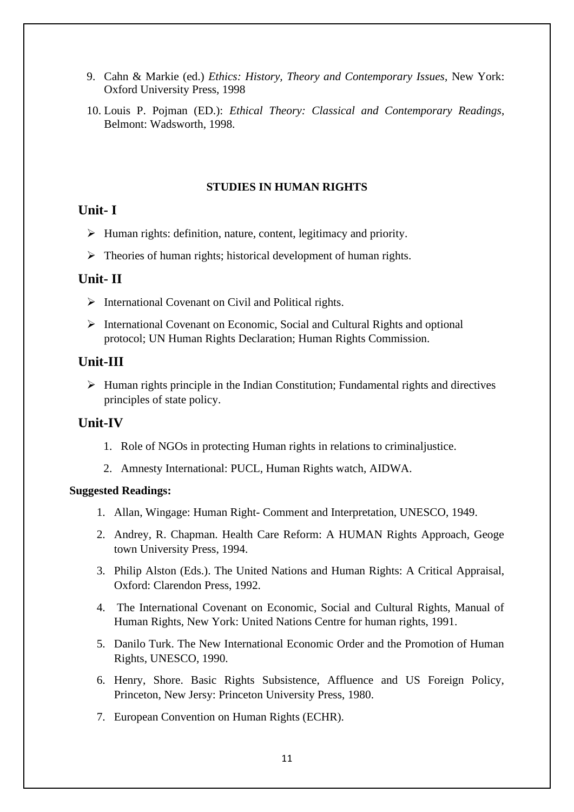- 9. Cahn & Markie (ed.) *Ethics: History, Theory and Contemporary Issues*, New York: Oxford University Press, 1998
- 10. Louis P. Pojman (ED.): *Ethical Theory: Classical and Contemporary Readings*, Belmont: Wadsworth, 1998.

#### **STUDIES IN HUMAN RIGHTS**

# **Unit- I**

- ➢ Human rights: definition, nature, content, legitimacy and priority.
- $\triangleright$  Theories of human rights; historical development of human rights.

# **Unit- II**

- ➢ International Covenant on Civil and Political rights.
- ➢ International Covenant on Economic, Social and Cultural Rights and optional protocol; UN Human Rights Declaration; Human Rights Commission.

# **Unit-III**

 $\triangleright$  Human rights principle in the Indian Constitution; Fundamental rights and directives principles of state policy.

# **Unit-IV**

- 1. Role of NGOs in protecting Human rights in relations to criminaljustice.
- 2. Amnesty International: PUCL, Human Rights watch, AIDWA.

- 1. Allan, Wingage: Human Right- Comment and Interpretation, UNESCO, 1949.
- 2. Andrey, R. Chapman. Health Care Reform: A HUMAN Rights Approach, Geoge town University Press, 1994.
- 3. Philip Alston (Eds.). The United Nations and Human Rights: A Critical Appraisal, Oxford: Clarendon Press, 1992.
- 4. The International Covenant on Economic, Social and Cultural Rights, Manual of Human Rights, New York: United Nations Centre for human rights, 1991.
- 5. Danilo Turk. The New International Economic Order and the Promotion of Human Rights, UNESCO, 1990.
- 6. Henry, Shore. Basic Rights Subsistence, Affluence and US Foreign Policy, Princeton, New Jersy: Princeton University Press, 1980.
- 7. European Convention on Human Rights (ECHR).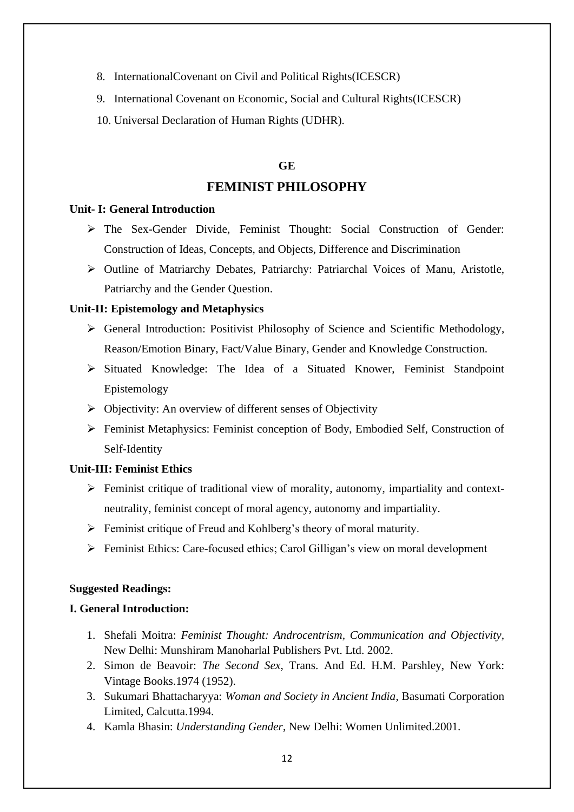- 8. InternationalCovenant on Civil and Political Rights(ICESCR)
- 9. International Covenant on Economic, Social and Cultural Rights(ICESCR)
- 10. Universal Declaration of Human Rights (UDHR).

#### **GE**

#### **FEMINIST PHILOSOPHY**

#### **Unit- I: General Introduction**

- ➢ The Sex-Gender Divide, Feminist Thought: Social Construction of Gender: Construction of Ideas, Concepts, and Objects, Difference and Discrimination
- ➢ Outline of Matriarchy Debates, Patriarchy: Patriarchal Voices of Manu, Aristotle, Patriarchy and the Gender Question.

#### **Unit-II: Epistemology and Metaphysics**

- ➢ General Introduction: Positivist Philosophy of Science and Scientific Methodology, Reason/Emotion Binary, Fact/Value Binary, Gender and Knowledge Construction.
- ➢ Situated Knowledge: The Idea of a Situated Knower, Feminist Standpoint Epistemology
- ➢ Objectivity: An overview of different senses of Objectivity
- ➢ Feminist Metaphysics: Feminist conception of Body, Embodied Self, Construction of Self-Identity

#### **Unit-III: Feminist Ethics**

- ➢ Feminist critique of traditional view of morality, autonomy, impartiality and contextneutrality, feminist concept of moral agency, autonomy and impartiality.
- ➢ Feminist critique of Freud and Kohlberg's theory of moral maturity.
- ➢ Feminist Ethics: Care-focused ethics; Carol Gilligan's view on moral development

#### **Suggested Readings:**

#### **I. General Introduction:**

- 1. Shefali Moitra: *Feminist Thought: Androcentrism, Communication and Objectivity,*  New Delhi: Munshiram Manoharlal Publishers Pvt. Ltd. 2002.
- 2. Simon de Beavoir: *The Second Sex*, Trans. And Ed. H.M. Parshley, New York: Vintage Books.1974 (1952).
- 3. Sukumari Bhattacharyya: *Woman and Society in Ancient India*, Basumati Corporation Limited, Calcutta.1994.
- 4. Kamla Bhasin: *Understanding Gender*, New Delhi: Women Unlimited.2001.